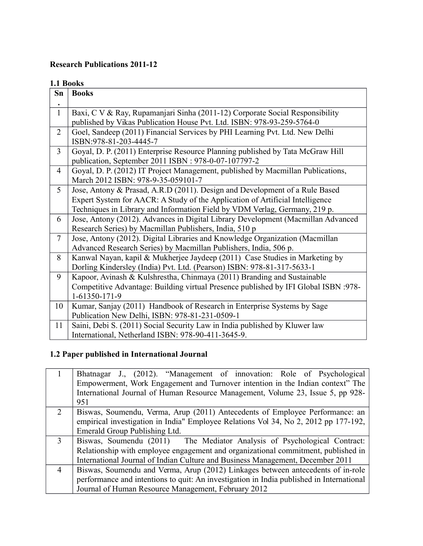#### **Research Publications 2011-12**

#### **1.1 Books**

| Sn             | <b>Books</b>                                                                        |
|----------------|-------------------------------------------------------------------------------------|
| $\bullet$      |                                                                                     |
| $\mathbf{1}$   | Baxi, C V & Ray, Rupamanjari Sinha (2011-12) Corporate Social Responsibility        |
|                | published by Vikas Publication House Pvt. Ltd. ISBN: 978-93-259-5764-0              |
| $\overline{2}$ | Goel, Sandeep (2011) Financial Services by PHI Learning Pvt. Ltd. New Delhi         |
|                | ISBN:978-81-203-4445-7                                                              |
| $\overline{3}$ | Goyal, D. P. (2011) Enterprise Resource Planning published by Tata McGraw Hill      |
|                | publication, September 2011 ISBN : 978-0-07-107797-2                                |
| 4              | Goyal, D. P. (2012) IT Project Management, published by Macmillan Publications,     |
|                | March 2012 ISBN: 978-9-35-059101-7                                                  |
| 5              | Jose, Antony & Prasad, A.R.D (2011). Design and Development of a Rule Based         |
|                | Expert System for AACR: A Study of the Application of Artificial Intelligence       |
|                | Techniques in Library and Information Field by VDM Verlag, Germany, 219 p.          |
| 6              | Jose, Antony (2012). Advances in Digital Library Development (Macmillan Advanced    |
|                | Research Series) by Macmillan Publishers, India, 510 p                              |
| $\overline{7}$ | Jose, Antony (2012). Digital Libraries and Knowledge Organization (Macmillan        |
|                | Advanced Research Series) by Macmillan Publishers, India, 506 p.                    |
| 8              | Kanwal Nayan, kapil & Mukherjee Jaydeep (2011) Case Studies in Marketing by         |
|                | Dorling Kindersley (India) Pvt. Ltd. (Pearson) ISBN: 978-81-317-5633-1              |
| 9              | Kapoor, Avinash & Kulshrestha, Chinmaya (2011) Branding and Sustainable             |
|                | Competitive Advantage: Building virtual Presence published by IFI Global ISBN :978- |
|                | 1-61350-171-9                                                                       |
| 10             | Kumar, Sanjay (2011) Handbook of Research in Enterprise Systems by Sage             |
|                | Publication New Delhi, ISBN: 978-81-231-0509-1                                      |
| 11             | Saini, Debi S. (2011) Social Security Law in India published by Kluwer law          |
|                | International, Netherland ISBN: 978-90-411-3645-9.                                  |

# **1.2 Paper published in International Journal**

|                | Bhatnagar J., (2012). "Management of innovation: Role of Psychological                   |
|----------------|------------------------------------------------------------------------------------------|
|                | Empowerment, Work Engagement and Turnover intention in the Indian context" The           |
|                | International Journal of Human Resource Management, Volume 23, Issue 5, pp 928-          |
|                | 951                                                                                      |
| 2              | Biswas, Soumendu, Verma, Arup (2011) Antecedents of Employee Performance: an             |
|                | empirical investigation in India" Employee Relations Vol 34, No 2, 2012 pp 177-192,      |
|                | Emerald Group Publishing Ltd.                                                            |
| $\mathcal{E}$  | Biswas, Soumendu (2011) The Mediator Analysis of Psychological Contract:                 |
|                | Relationship with employee engagement and organizational commitment, published in        |
|                | International Journal of Indian Culture and Business Management, December 2011           |
| $\overline{4}$ | Biswas, Soumendu and Verma, Arup (2012) Linkages between antecedents of in-role          |
|                | performance and intentions to quit. An investigation in India published in International |
|                | Journal of Human Resource Management, February 2012                                      |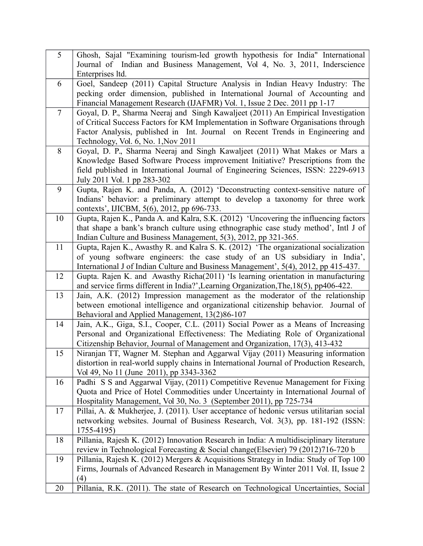| $\overline{5}$ | Ghosh, Sajal "Examining tourism-led growth hypothesis for India" International                                                                                        |
|----------------|-----------------------------------------------------------------------------------------------------------------------------------------------------------------------|
|                | Journal of Indian and Business Management, Vol 4, No. 3, 2011, Inderscience                                                                                           |
|                | Enterprises ltd.                                                                                                                                                      |
| 6              | Goel, Sandeep (2011) Capital Structure Analysis in Indian Heavy Industry: The                                                                                         |
|                | pecking order dimension, published in International Journal of Accounting and                                                                                         |
|                | Financial Management Research (IJAFMR) Vol. 1, Issue 2 Dec. 2011 pp 1-17                                                                                              |
| $\overline{7}$ | Goyal, D. P., Sharma Neeraj and Singh Kawaljeet (2011) An Empirical Investigation                                                                                     |
|                | of Critical Success Factors for KM Implementation in Software Organisations through                                                                                   |
|                | Factor Analysis, published in Int. Journal on Recent Trends in Engineering and<br>Technology, Vol. 6, No. 1, Nov 2011                                                 |
| 8              | Goyal, D. P., Sharma Neeraj and Singh Kawaljeet (2011) What Makes or Mars a                                                                                           |
|                | Knowledge Based Software Process improvement Initiative? Prescriptions from the                                                                                       |
|                | field published in International Journal of Engineering Sciences, ISSN: 2229-6913                                                                                     |
|                | July 2011 Vol. 1 pp 283-302                                                                                                                                           |
| 9              | Gupta, Rajen K. and Panda, A. (2012) 'Deconstructing context-sensitive nature of                                                                                      |
|                | Indians' behavior: a preliminary attempt to develop a taxonomy for three work                                                                                         |
|                | contexts', IJICBM, 5(6), 2012, pp 696-733.                                                                                                                            |
| 10             | Gupta, Rajen K., Panda A. and Kalra, S.K. (2012) 'Uncovering the influencing factors                                                                                  |
|                | that shape a bank's branch culture using ethnographic case study method', Intl J of                                                                                   |
|                | Indian Culture and Business Management, 5(3), 2012, pp 321-365.                                                                                                       |
| 11             | Gupta, Rajen K., Awasthy R. and Kalra S. K. (2012) 'The organizational socialization                                                                                  |
|                | of young software engineers: the case study of an US subsidiary in India',                                                                                            |
|                | International J of Indian Culture and Business Management', 5(4), 2012, pp 415-437.                                                                                   |
| 12             | Gupta. Rajen K. and Awasthy Richa(2011) 'Is learning orientation in manufacturing                                                                                     |
| 13             | and service firms different in India?', Learning Organization, The, 18(5), pp406-422.<br>Jain, A.K. (2012) Impression management as the moderator of the relationship |
|                | between emotional intelligence and organizational citizenship behavior. Journal of                                                                                    |
|                | Behavioral and Applied Management, 13(2)86-107                                                                                                                        |
| 14             | Jain, A.K., Giga, S.I., Cooper, C.L. (2011) Social Power as a Means of Increasing                                                                                     |
|                | Personal and Organizational Effectiveness: The Mediating Role of Organizational                                                                                       |
|                | Citizenship Behavior, Journal of Management and Organization, 17(3), 413-432                                                                                          |
| 15             | Niranjan TT, Wagner M. Stephan and Aggarwal Vijay (2011) Measuring information                                                                                        |
|                | distortion in real-world supply chains in International Journal of Production Research,                                                                               |
|                |                                                                                                                                                                       |
|                | Vol 49, No 11 (June 2011), pp 3343-3362                                                                                                                               |
| 16             | Padhi S S and Aggarwal Vijay, (2011) Competitive Revenue Management for Fixing                                                                                        |
|                | Quota and Price of Hotel Commodities under Uncertainty in International Journal of                                                                                    |
|                | Hospitality Management, Vol 30, No. 3 (September 2011), pp 725-734                                                                                                    |
| 17             | Pillai, A. & Mukherjee, J. (2011). User acceptance of hedonic versus utilitarian social                                                                               |
|                | networking websites. Journal of Business Research, Vol. 3(3), pp. 181-192 (ISSN:                                                                                      |
|                | 1755-4195)                                                                                                                                                            |
| 18             | Pillania, Rajesh K. (2012) Innovation Research in India: A multidisciplinary literature                                                                               |
|                | review in Technological Forecasting & Social change(Elsevier) 79 (2012)716-720 b                                                                                      |
| 19             | Pillania, Rajesh K. (2012) Mergers & Acquisitions Strategy in India: Study of Top 100                                                                                 |
|                | Firms, Journals of Advanced Research in Management By Winter 2011 Vol. II, Issue 2                                                                                    |
| 20             | (4)<br>Pillania, R.K. (2011). The state of Research on Technological Uncertainties, Social                                                                            |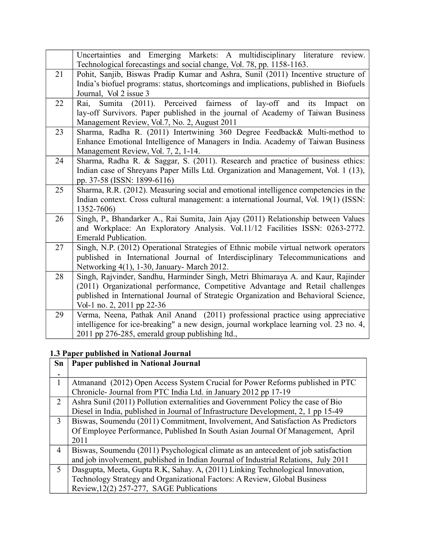|    | Uncertainties and Emerging Markets: A multidisciplinary literature<br>review.<br>Technological forecastings and social change, Vol. 78, pp. 1158-1163.                                                                                                                                   |
|----|------------------------------------------------------------------------------------------------------------------------------------------------------------------------------------------------------------------------------------------------------------------------------------------|
| 21 | Pohit, Sanjib, Biswas Pradip Kumar and Ashra, Sunil (2011) Incentive structure of<br>India's biofuel programs: status, shortcomings and implications, published in Biofuels<br>Journal, Vol 2 issue 3                                                                                    |
| 22 | Perceived fairness of lay-off<br>Sumita (2011).<br>Rai.<br>and<br>its<br>Impact<br>on<br>lay-off Survivors. Paper published in the journal of Academy of Taiwan Business<br>Management Review, Vol.7, No. 2, August 2011                                                                 |
| 23 | Sharma, Radha R. (2011) Intertwining 360 Degree Feedback& Multi-method to<br>Enhance Emotional Intelligence of Managers in India. Academy of Taiwan Business<br>Management Review, Vol. 7, 2, 1-14.                                                                                      |
| 24 | Sharma, Radha R. & Saggar, S. (2011). Research and practice of business ethics:<br>Indian case of Shreyans Paper Mills Ltd. Organization and Management, Vol. 1 (13),<br>pp. 37-58 (ISSN: 1899-6116)                                                                                     |
| 25 | Sharma, R.R. (2012). Measuring social and emotional intelligence competencies in the<br>Indian context. Cross cultural management: a international Journal, Vol. 19(1) (ISSN:<br>1352-7606)                                                                                              |
| 26 | Singh, P., Bhandarker A., Rai Sumita, Jain Ajay (2011) Relationship between Values<br>and Workplace: An Exploratory Analysis. Vol.11/12 Facilities ISSN: 0263-2772.<br><b>Emerald Publication.</b>                                                                                       |
| 27 | Singh, N.P. (2012) Operational Strategies of Ethnic mobile virtual network operators<br>published in International Journal of Interdisciplinary Telecommunications and<br>Networking 4(1), 1-30, January- March 2012.                                                                    |
| 28 | Singh, Rajvinder, Sandhu, Harminder Singh, Metri Bhimaraya A. and Kaur, Rajinder<br>(2011) Organizational performance, Competitive Advantage and Retail challenges<br>published in International Journal of Strategic Organization and Behavioral Science,<br>Vol-1 no. 2, 2011 pp 22-36 |
| 29 | Verma, Neena, Pathak Anil Anand (2011) professional practice using appreciative<br>intelligence for ice-breaking" a new design, journal workplace learning vol. 23 no. 4,<br>2011 pp 276-285, emerald group publishing ltd.,                                                             |

# **1.3 Paper published in National Journal**

| Sn             | Paper published in National Journal                                                 |
|----------------|-------------------------------------------------------------------------------------|
|                |                                                                                     |
| 1              | Atmanand (2012) Open Access System Crucial for Power Reforms published in PTC       |
|                | Chronicle- Journal from PTC India Ltd. in January 2012 pp 17-19                     |
| $\overline{2}$ | Ashra Sunil (2011) Pollution externalities and Government Policy the case of Bio    |
|                | Diesel in India, published in Journal of Infrastructure Development, 2, 1 pp 15-49  |
| 3              | Biswas, Soumendu (2011) Commitment, Involvement, And Satisfaction As Predictors     |
|                | Of Employee Performance, Published In South Asian Journal Of Management, April      |
|                | 2011                                                                                |
| $\overline{4}$ | Biswas, Soumendu (2011) Psychological climate as an antecedent of job satisfaction  |
|                | and job involvement, published in Indian Journal of Industrial Relations, July 2011 |
| 5              | Dasgupta, Meeta, Gupta R.K., Sahay. A, (2011) Linking Technological Innovation,     |
|                | Technology Strategy and Organizational Factors: A Review, Global Business           |
|                | Review, 12(2) 257-277, SAGE Publications                                            |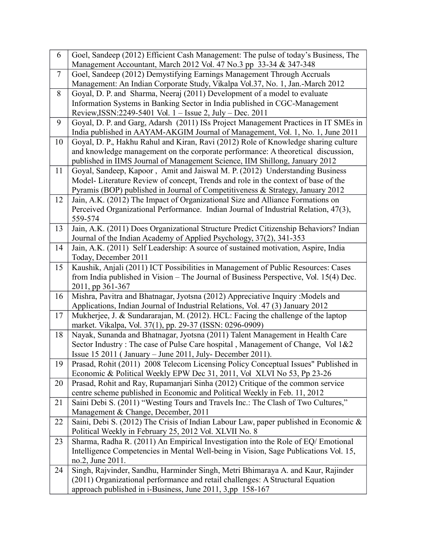| 6              | Goel, Sandeep (2012) Efficient Cash Management: The pulse of today's Business, The                                                                                     |
|----------------|------------------------------------------------------------------------------------------------------------------------------------------------------------------------|
|                | Management Accountant, March 2012 Vol. 47 No.3 pp 33-34 & 347-348                                                                                                      |
| $\overline{7}$ | Goel, Sandeep (2012) Demystifying Earnings Management Through Accruals                                                                                                 |
|                | Management: An Indian Corporate Study, Vikalpa Vol.37, No. 1, Jan.-March 2012                                                                                          |
| 8              | Goyal, D. P. and Sharma, Neeraj (2011) Development of a model to evaluate                                                                                              |
|                | Information Systems in Banking Sector in India published in CGC-Management                                                                                             |
|                | Review, ISSN: 2249-5401 Vol. 1 - Issue 2, July - Dec. 2011                                                                                                             |
| 9              | Goyal, D. P. and Garg, Adarsh (2011) ISs Project Management Practices in IT SMEs in                                                                                    |
|                | India published in AAYAM-AKGIM Journal of Management, Vol. 1, No. 1, June 2011                                                                                         |
| 10             | Goyal, D. P., Hakhu Rahul and Kiran, Ravi (2012) Role of Knowledge sharing culture<br>and knowledge management on the corporate performance: A theoretical discussion, |
|                | published in IIMS Journal of Management Science, IIM Shillong, January 2012                                                                                            |
| 11             | Goyal, Sandeep, Kapoor, Amit and Jaiswal M. P. (2012) Understanding Business                                                                                           |
|                | Model-Literature Review of concept, Trends and role in the context of base of the                                                                                      |
|                | Pyramis (BOP) published in Journal of Competitiveness & Strategy, January 2012                                                                                         |
| 12             | Jain, A.K. (2012) The Impact of Organizational Size and Alliance Formations on                                                                                         |
|                | Perceived Organizational Performance. Indian Journal of Industrial Relation, 47(3),                                                                                    |
|                | 559-574                                                                                                                                                                |
| 13             | Jain, A.K. (2011) Does Organizational Structure Predict Citizenship Behaviors? Indian                                                                                  |
|                | Journal of the Indian Academy of Applied Psychology, 37(2), 341-353                                                                                                    |
| 14             | Jain, A.K. (2011) Self Leadership: A source of sustained motivation, Aspire, India                                                                                     |
|                | Today, December 2011                                                                                                                                                   |
| 15             | Kaushik, Anjali (2011) ICT Possibilities in Management of Public Resources: Cases                                                                                      |
|                | from India published in Vision - The Journal of Business Perspective, Vol. 15(4) Dec.                                                                                  |
|                | 2011, pp 361-367                                                                                                                                                       |
| 16             | Mishra, Pavitra and Bhatnagar, Jyotsna (2012) Appreciative Inquiry : Models and<br>Applications, Indian Journal of Industrial Relations, Vol. 47 (3) January 2012      |
| 17             | Mukherjee, J. & Sundararajan, M. (2012). HCL: Facing the challenge of the laptop                                                                                       |
|                | market. Vikalpa, Vol. 37(1), pp. 29-37 (ISSN: 0296-0909)                                                                                                               |
| 18             | Nayak, Sunanda and Bhatnagar, Jyotsna (2011) Talent Management in Health Care                                                                                          |
|                | Sector Industry: The case of Pulse Care hospital, Management of Change, Vol 1&2                                                                                        |
|                | Issue 15 2011 (January - June 2011, July-December 2011).                                                                                                               |
| 19             | Prasad, Rohit (2011) 2008 Telecom Licensing Policy Conceptual Issues" Published in                                                                                     |
|                | Economic & Political Weekly EPW Dec 31, 2011, Vol XLVI No 53, Pp 23-26                                                                                                 |
| 20             | Prasad, Rohit and Ray, Rupamanjari Sinha (2012) Critique of the common service                                                                                         |
|                | centre scheme published in Economic and Political Weekly in Feb. 11, 2012                                                                                              |
| 21             | Saini Debi S. (2011) "Westing Tours and Travels Inc.: The Clash of Two Cultures,"                                                                                      |
| 22             | Management & Change, December, 2011<br>Saini, Debi S. (2012) The Crisis of Indian Labour Law, paper published in Economic &                                            |
|                | Political Weekly in February 25, 2012 Vol. XLVII No. 8                                                                                                                 |
| 23             | Sharma, Radha R. (2011) An Empirical Investigation into the Role of EQ/ Emotional                                                                                      |
|                | Intelligence Competencies in Mental Well-being in Vision, Sage Publications Vol. 15,                                                                                   |
|                | no.2, June 2011.                                                                                                                                                       |
| 24             | Singh, Rajvinder, Sandhu, Harminder Singh, Metri Bhimaraya A. and Kaur, Rajinder                                                                                       |
|                | (2011) Organizational performance and retail challenges: A Structural Equation                                                                                         |
|                | approach published in i-Business, June 2011, 3,pp 158-167                                                                                                              |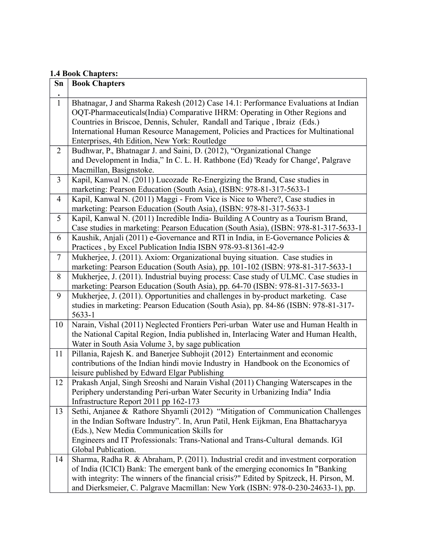#### **1.4 Book Chapters:**

| Sn             | oon campeers<br><b>Book Chapters</b>                                                                                                                                                                                                                                                                                                                                                 |
|----------------|--------------------------------------------------------------------------------------------------------------------------------------------------------------------------------------------------------------------------------------------------------------------------------------------------------------------------------------------------------------------------------------|
| $\bullet$      |                                                                                                                                                                                                                                                                                                                                                                                      |
| $\mathbf{1}$   | Bhatnagar, J and Sharma Rakesh (2012) Case 14.1: Performance Evaluations at Indian<br>OQT-Pharmaceuticals(India) Comparative IHRM: Operating in Other Regions and<br>Countries in Briscoe, Dennis, Schuler, Randall and Tarique, Ibraiz (Eds.)<br>International Human Resource Management, Policies and Practices for Multinational<br>Enterprises, 4th Edition, New York: Routledge |
| $\overline{2}$ | Budhwar, P., Bhatnagar J. and Saini, D. (2012), "Organizational Change<br>and Development in India," In C. L. H. Rathbone (Ed) 'Ready for Change', Palgrave<br>Macmillan, Basignstoke.                                                                                                                                                                                               |
| $\overline{3}$ | Kapil, Kanwal N. (2011) Lucozade Re-Energizing the Brand, Case studies in<br>marketing: Pearson Education (South Asia), (ISBN: 978-81-317-5633-1                                                                                                                                                                                                                                     |
| $\overline{4}$ | Kapil, Kanwal N. (2011) Maggi - From Vice is Nice to Where?, Case studies in<br>marketing: Pearson Education (South Asia), (ISBN: 978-81-317-5633-1                                                                                                                                                                                                                                  |
| 5              | Kapil, Kanwal N. (2011) Incredible India-Building A Country as a Tourism Brand,<br>Case studies in marketing: Pearson Education (South Asia), (ISBN: 978-81-317-5633-1                                                                                                                                                                                                               |
| 6              | Kaushik, Anjali (2011) e-Governance and RTI in India, in E-Governance Policies &<br>Practices, by Excel Publication India ISBN 978-93-81361-42-9                                                                                                                                                                                                                                     |
| $\tau$         | Mukherjee, J. (2011). Axiom: Organizational buying situation. Case studies in<br>marketing: Pearson Education (South Asia), pp. 101-102 (ISBN: 978-81-317-5633-1                                                                                                                                                                                                                     |
| 8              | Mukherjee, J. (2011). Industrial buying process: Case study of ULMC. Case studies in<br>marketing: Pearson Education (South Asia), pp. 64-70 (ISBN: 978-81-317-5633-1                                                                                                                                                                                                                |
| 9              | Mukherjee, J. (2011). Opportunities and challenges in by-product marketing. Case<br>studies in marketing: Pearson Education (South Asia), pp. 84-86 (ISBN: 978-81-317-<br>5633-1                                                                                                                                                                                                     |
| 10             | Narain, Vishal (2011) Neglected Frontiers Peri-urban Water use and Human Health in<br>the National Capital Region, India published in, Interlacing Water and Human Health,<br>Water in South Asia Volume 3, by sage publication                                                                                                                                                      |
| 11             | Pillania, Rajesh K. and Banerjee Subhojit (2012) Entertainment and economic<br>contributions of the Indian hindi movie Industry in Handbook on the Economics of<br>leisure published by Edward Elgar Publishing                                                                                                                                                                      |
| 12             | Prakash Anjal, Singh Sreoshi and Narain Vishal (2011) Changing Waterscapes in the<br>Periphery understanding Peri-urban Water Security in Urbanizing India" India<br>Infrastructure Report 2011 pp 162-173                                                                                                                                                                           |
| 13             | Sethi, Anjanee & Rathore Shyamli (2012) "Mitigation of Communication Challenges<br>in the Indian Software Industry". In, Arun Patil, Henk Eijkman, Ena Bhattacharyya<br>(Eds.), New Media Communication Skills for<br>Engineers and IT Professionals: Trans-National and Trans-Cultural demands. IGI<br>Global Publication.                                                          |
| 14             | Sharma, Radha R. & Abraham, P. (2011). Industrial credit and investment corporation<br>of India (ICICI) Bank: The emergent bank of the emerging economics In "Banking<br>with integrity: The winners of the financial crisis?" Edited by Spitzeck, H. Pirson, M.<br>and Dierksmeier, C. Palgrave Macmillan: New York (ISBN: 978-0-230-24633-1), pp.                                  |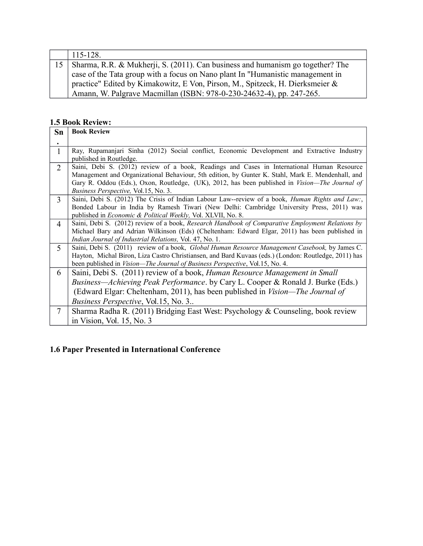|    | $115 - 128$ .                                                                  |
|----|--------------------------------------------------------------------------------|
| 15 | Sharma, R.R. & Mukherji, S. (2011). Can business and humanism go together? The |
|    | case of the Tata group with a focus on Nano plant In "Humanistic management in |
|    | practice" Edited by Kimakowitz, E Von, Pirson, M., Spitzeck, H. Dierksmeier &  |
|    | Amann, W. Palgrave Macmillan (ISBN: 978-0-230-24632-4), pp. 247-265.           |

#### **1.5 Book Review:**

| <b>Sn</b>      | <b>Book Review</b>                                                                                                                                                                                                                                                                                                                               |
|----------------|--------------------------------------------------------------------------------------------------------------------------------------------------------------------------------------------------------------------------------------------------------------------------------------------------------------------------------------------------|
| ٠              |                                                                                                                                                                                                                                                                                                                                                  |
| $\mathbf{1}$   | Ray, Rupamanjari Sinha (2012) Social conflict, Economic Development and Extractive Industry<br>published in Routledge.                                                                                                                                                                                                                           |
| $\overline{2}$ | Saini, Debi S. (2012) review of a book, Readings and Cases in International Human Resource<br>Management and Organizational Behaviour, 5th edition, by Gunter K. Stahl, Mark E. Mendenhall, and<br>Gary R. Oddou (Eds.), Oxon, Routledge, (UK), 2012, has been published in <i>Vision—The Journal of</i><br>Business Perspective, Vol.15, No. 3. |
| 3              | Saini, Debi S. (2012) The Crisis of Indian Labour Law--review of a book, <i>Human Rights and Law</i> :,<br>Bonded Labour in India by Ramesh Tiwari (New Delhi: Cambridge University Press, 2011) was<br>published in <i>Economic &amp; Political Weekly</i> , Vol. XLVII, No. 8.                                                                 |
| 4              | Saini, Debi S. (2012) review of a book, Research Handbook of Comparative Employment Relations by<br>Michael Bary and Adrian Wilkinson (Eds) (Cheltenham: Edward Elgar, 2011) has been published in<br>Indian Journal of Industrial Relations, Vol. 47, No. 1.                                                                                    |
| 5              | Saini, Debi S. (2011) review of a book, Global Human Resource Management Casebook, by James C.<br>Hayton, Michal Biron, Liza Castro Christiansen, and Bard Kuvaas (eds.) (London: Routledge, 2011) has<br>been published in Vision-The Journal of Business Perspective, Vol.15, No. 4.                                                           |
| 6              | Saini, Debi S. (2011) review of a book, Human Resource Management in Small<br><i>Business—Achieving Peak Performance.</i> by Cary L. Cooper & Ronald J. Burke (Eds.)<br>(Edward Elgar: Cheltenham, 2011), has been published in <i>Vision—The Journal of</i><br><i>Business Perspective, Vol.15, No. 3</i>                                       |
| $\tau$         | Sharma Radha R. (2011) Bridging East West: Psychology & Counseling, book review<br>in Vision, Vol. 15, No. 3                                                                                                                                                                                                                                     |

## **1.6 Paper Presented in International Conference**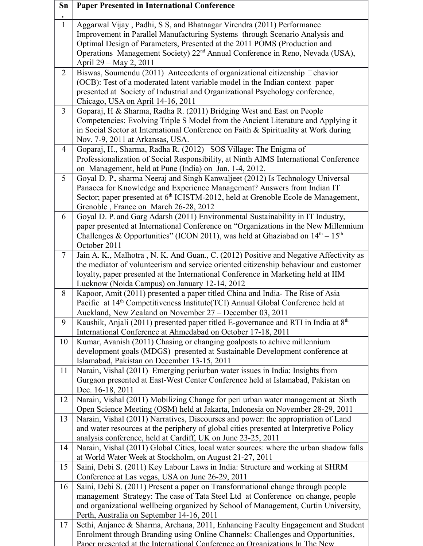| Sn             | <b>Paper Presented in International Conference</b>                                                                                                         |
|----------------|------------------------------------------------------------------------------------------------------------------------------------------------------------|
| $\mathbf{1}$   | Aggarwal Vijay, Padhi, S S, and Bhatnagar Virendra (2011) Performance                                                                                      |
|                | Improvement in Parallel Manufacturing Systems through Scenario Analysis and                                                                                |
|                | Optimal Design of Parameters, Presented at the 2011 POMS (Production and                                                                                   |
|                | Operations Management Society) 22 <sup>nd</sup> Annual Conference in Reno, Nevada (USA),<br>April 29 - May 2, 2011                                         |
| $\overline{2}$ | Biswas, Soumendu (2011) Antecedents of organizational citizenship $\Box$ ehavior                                                                           |
|                | (OCB): Test of a moderated latent variable model in the Indian context paper                                                                               |
|                | presented at Society of Industrial and Organizational Psychology conference,                                                                               |
|                | Chicago, USA on April 14-16, 2011                                                                                                                          |
| $\overline{3}$ | Goparaj, H & Sharma, Radha R. (2011) Bridging West and East on People                                                                                      |
|                | Competencies: Evolving Triple S Model from the Ancient Literature and Applying it                                                                          |
|                | in Social Sector at International Conference on Faith & Spirituality at Work during<br>Nov. 7-9, 2011 at Arkansas, USA.                                    |
| $\overline{4}$ | Goparaj, H., Sharma, Radha R. (2012) SOS Village: The Enigma of                                                                                            |
|                | Professionalization of Social Responsibility, at Ninth AIMS International Conference                                                                       |
|                | on Management, held at Pune (India) on Jan. 1-4, 2012.                                                                                                     |
| 5              | Goyal D. P., sharma Neeraj and Singh Kanwaljeet (2012) Is Technology Universal                                                                             |
|                | Panacea for Knowledge and Experience Management? Answers from Indian IT                                                                                    |
|                | Sector; paper presented at 6 <sup>th</sup> ICISTM-2012, held at Grenoble Ecole de Management,                                                              |
|                | Grenoble, France on March 26-28, 2012                                                                                                                      |
| 6              | Goyal D. P. and Garg Adarsh (2011) Environmental Sustainability in IT Industry,                                                                            |
|                | paper presented at International Conference on "Organizations in the New Millennium                                                                        |
|                | Challenges & Opportunities" (ICON 2011), was held at Ghaziabad on $14th - 15th$<br>October 2011                                                            |
| $\tau$         | Jain A. K., Malhotra, N. K. And Guan., C. (2012) Positive and Negative Affectivity as                                                                      |
|                | the mediator of volunteerism and service oriented citizenship behaviour and customer                                                                       |
|                | loyalty, paper presented at the International Conference in Marketing held at IIM                                                                          |
|                | Lucknow (Noida Campus) on January 12-14, 2012                                                                                                              |
| 8              | Kapoor, Amit (2011) presented a paper titled China and India-The Rise of Asia                                                                              |
|                | Pacific at 14 <sup>th</sup> Competitiveness Institute(TCI) Annual Global Conference held at                                                                |
| 9              | Auckland, New Zealand on November 27 - December 03, 2011<br>Kaushik, Anjali (2011) presented paper titled E-governance and RTI in India at 8 <sup>th</sup> |
|                | International Conference at Ahmedabad on October 17-18, 2011                                                                                               |
| 10             | Kumar, Avanish (2011) Chasing or changing goalposts to achive millennium                                                                                   |
|                | development goals (MDGS) presented at Sustainable Development conference at                                                                                |
|                | Islamabad, Pakistan on December 13-15, 2011                                                                                                                |
| 11             | Narain, Vishal (2011) Emerging periurban water issues in India: Insights from                                                                              |
|                | Gurgaon presented at East-West Center Conference held at Islamabad, Pakistan on                                                                            |
| 12             | Dec. 16-18, 2011<br>Narain, Vishal (2011) Mobilizing Change for peri urban water management at Sixth                                                       |
|                | Open Science Meeting (OSM) held at Jakarta, Indonesia on November 28-29, 2011                                                                              |
| 13             | Narain, Vishal (2011) Narratives, Discourses and power: the appropriation of Land                                                                          |
|                | and water resources at the periphery of global cities presented at Interpretive Policy                                                                     |
|                | analysis conference, held at Cardiff, UK on June 23-25, 2011                                                                                               |
| 14             | Narain, Vishal (2011) Global Cities, local water sources: where the urban shadow falls                                                                     |
|                | at World Water Week at Stockholm, on August 21-27, 2011                                                                                                    |
| 15             | Saini, Debi S. (2011) Key Labour Laws in India: Structure and working at SHRM                                                                              |
| 16             | Conference at Las vegas, USA on June 26-29, 2011<br>Saini, Debi S. (2011) Present a paper on Transformational change through people                        |
|                | management Strategy: The case of Tata Steel Ltd at Conference on change, people                                                                            |
|                | and organizational wellbeing organized by School of Management, Curtin University,                                                                         |
|                | Perth, Australia on September 14-16, 2011                                                                                                                  |
| 17             | Sethi, Anjanee & Sharma, Archana, 2011, Enhancing Faculty Engagement and Student                                                                           |
|                | Enrolment through Branding using Online Channels: Challenges and Opportunities,                                                                            |
|                | Paper presented at the International Conference on Organizations In The New                                                                                |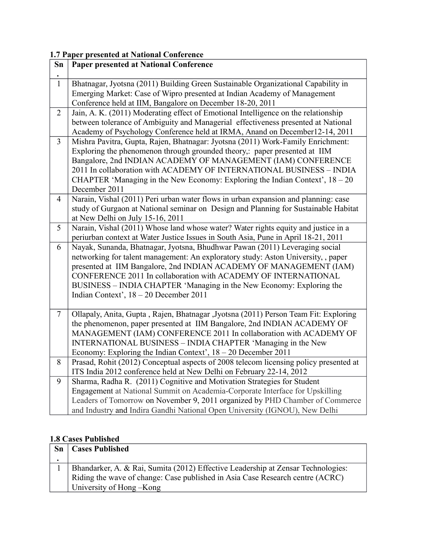### **1.7 Paper presented at National Conference**

| Sn             | <b>Paper presented at National Conference</b>                                         |
|----------------|---------------------------------------------------------------------------------------|
| $\bullet$      |                                                                                       |
| $\mathbf{1}$   | Bhatnagar, Jyotsna (2011) Building Green Sustainable Organizational Capability in     |
|                | Emerging Market: Case of Wipro presented at Indian Academy of Management              |
|                | Conference held at IIM, Bangalore on December 18-20, 2011                             |
| $\overline{2}$ | Jain, A. K. (2011) Moderating effect of Emotional Intelligence on the relationship    |
|                | between tolerance of Ambiguity and Managerial effectiveness presented at National     |
|                | Academy of Psychology Conference held at IRMA, Anand on December12-14, 2011           |
| $\overline{3}$ | Mishra Pavitra, Gupta, Rajen, Bhatnagar: Jyotsna (2011) Work-Family Enrichment:       |
|                | Exploring the phenomenon through grounded theory,: paper presented at IIM             |
|                | Bangalore, 2nd INDIAN ACADEMY OF MANAGEMENT (IAM) CONFERENCE                          |
|                | 2011 In collaboration with ACADEMY OF INTERNATIONAL BUSINESS - INDIA                  |
|                | CHAPTER 'Managing in the New Economy: Exploring the Indian Context', $18 - 20$        |
|                | December 2011                                                                         |
| $\overline{4}$ | Narain, Vishal (2011) Peri urban water flows in urban expansion and planning: case    |
|                | study of Gurgaon at National seminar on Design and Planning for Sustainable Habitat   |
|                | at New Delhi on July 15-16, 2011                                                      |
| 5              | Narain, Vishal (2011) Whose land whose water? Water rights equity and justice in a    |
|                | periurban context at Water Justice Issues in South Asia, Pune in April 18-21, 2011    |
| 6              | Nayak, Sunanda, Bhatnagar, Jyotsna, Bhudhwar Pawan (2011) Leveraging social           |
|                | networking for talent management: An exploratory study: Aston University, , paper     |
|                | presented at IIM Bangalore, 2nd INDIAN ACADEMY OF MANAGEMENT (IAM)                    |
|                | CONFERENCE 2011 In collaboration with ACADEMY OF INTERNATIONAL                        |
|                | BUSINESS - INDIA CHAPTER 'Managing in the New Economy: Exploring the                  |
|                | Indian Context', 18 - 20 December 2011                                                |
|                |                                                                                       |
| $\overline{7}$ | Ollapaly, Anita, Gupta, Rajen, Bhatnagar ,Jyotsna (2011) Person Team Fit: Exploring   |
|                | the phenomenon, paper presented at IIM Bangalore, 2nd INDIAN ACADEMY OF               |
|                | MANAGEMENT (IAM) CONFERENCE 2011 In collaboration with ACADEMY OF                     |
|                | INTERNATIONAL BUSINESS - INDIA CHAPTER 'Managing in the New                           |
|                | Economy: Exploring the Indian Context', 18 - 20 December 2011                         |
| 8              | Prasad, Rohit (2012) Conceptual aspects of 2008 telecom licensing policy presented at |
|                | ITS India 2012 conference held at New Delhi on February 22-14, 2012                   |
| 9              | Sharma, Radha R. (2011) Cognitive and Motivation Strategies for Student               |
|                | Engagement at National Summit on Academia-Corporate Interface for Upskilling          |
|                | Leaders of Tomorrow on November 9, 2011 organized by PHD Chamber of Commerce          |
|                | and Industry and Indira Gandhi National Open University (IGNOU), New Delhi            |

### **1.8 Cases Published**

| <b>Sn</b> | <b>Cases Published</b>                                                                                                                                            |
|-----------|-------------------------------------------------------------------------------------------------------------------------------------------------------------------|
|           |                                                                                                                                                                   |
|           | Bhandarker, A. & Rai, Sumita (2012) Effective Leadership at Zensar Technologies:<br>Riding the wave of change: Case published in Asia Case Research centre (ACRC) |
|           | University of Hong – Kong                                                                                                                                         |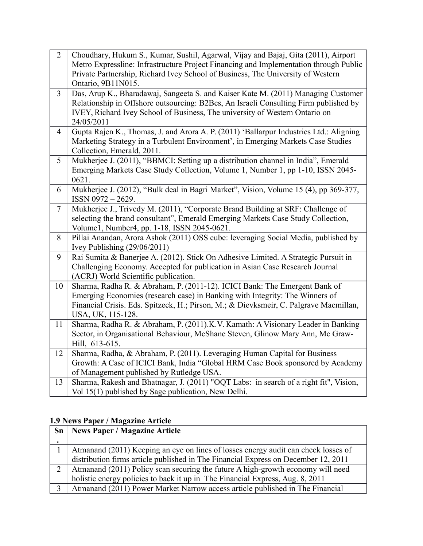| $\overline{2}$  | Choudhary, Hukum S., Kumar, Sushil, Agarwal, Vijay and Bajaj, Gita (2011), Airport<br>Metro Expressline: Infrastructure Project Financing and Implementation through Public<br>Private Partnership, Richard Ivey School of Business, The University of Western<br>Ontario, 9B11N015. |
|-----------------|--------------------------------------------------------------------------------------------------------------------------------------------------------------------------------------------------------------------------------------------------------------------------------------|
| $\overline{3}$  | Das, Arup K., Bharadawaj, Sangeeta S. and Kaiser Kate M. (2011) Managing Customer<br>Relationship in Offshore outsourcing: B2Bcs, An Israeli Consulting Firm published by<br>IVEY, Richard Ivey School of Business, The university of Western Ontario on<br>24/05/2011               |
| $\overline{4}$  | Gupta Rajen K., Thomas, J. and Arora A. P. (2011) 'Ballarpur Industries Ltd.: Aligning<br>Marketing Strategy in a Turbulent Environment', in Emerging Markets Case Studies<br>Collection, Emerald, 2011.                                                                             |
| 5               | Mukherjee J. (2011), "BBMCI: Setting up a distribution channel in India", Emerald<br>Emerging Markets Case Study Collection, Volume 1, Number 1, pp 1-10, ISSN 2045-<br>0621.                                                                                                        |
| 6               | Mukherjee J. (2012), "Bulk deal in Bagri Market", Vision, Volume 15 (4), pp 369-377,<br>ISSN 0972-2629.                                                                                                                                                                              |
| $7\overline{ }$ | Mukherjee J., Trivedy M. (2011), "Corporate Brand Building at SRF: Challenge of<br>selecting the brand consultant", Emerald Emerging Markets Case Study Collection,<br>Volume1, Number4, pp. 1-18, ISSN 2045-0621.                                                                   |
| 8               | Pillai Anandan, Arora Ashok (2011) OSS cube: leveraging Social Media, published by<br>Ivey Publishing $(29/06/2011)$                                                                                                                                                                 |
| 9               | Rai Sumita & Banerjee A. (2012). Stick On Adhesive Limited. A Strategic Pursuit in<br>Challenging Economy. Accepted for publication in Asian Case Research Journal<br>(ACRJ) World Scientific publication.                                                                           |
| 10              | Sharma, Radha R. & Abraham, P. (2011-12). ICICI Bank: The Emergent Bank of<br>Emerging Economies (research case) in Banking with Integrity: The Winners of<br>Financial Crisis. Eds. Spitzeck, H.; Pirson, M.; & Dievksmeir, C. Palgrave Macmillan,<br>USA, UK, 115-128.             |
| 11              | Sharma, Radha R. & Abraham, P. (2011).K.V. Kamath: A Visionary Leader in Banking<br>Sector, in Organisational Behaviour, McShane Steven, Glinow Mary Ann, Mc Graw-<br>Hill, 613-615.                                                                                                 |
| 12              | Sharma, Radha, & Abraham, P. (2011). Leveraging Human Capital for Business<br>Growth: A Case of ICICI Bank, India "Global HRM Case Book sponsored by Academy<br>of Management published by Rutledge USA.                                                                             |
| 13              | Sharma, Rakesh and Bhatnagar, J. (2011) "OQT Labs: in search of a right fit", Vision,<br>Vol 15(1) published by Sage publication, New Delhi.                                                                                                                                         |

### **1.9 News Paper / Magazine Article**

| $\mathbf{S}\mathbf{n}$ | News Paper / Magazine Article                                                      |
|------------------------|------------------------------------------------------------------------------------|
|                        |                                                                                    |
|                        | Atmanand (2011) Keeping an eye on lines of losses energy audit can check losses of |
|                        | distribution firms article published in The Financial Express on December 12, 2011 |
| $\overline{2}$         | Atmanand (2011) Policy scan securing the future A high-growth economy will need    |
|                        | holistic energy policies to back it up in The Financial Express, Aug. 8, 2011      |
|                        | Atmanand (2011) Power Market Narrow access article published in The Financial      |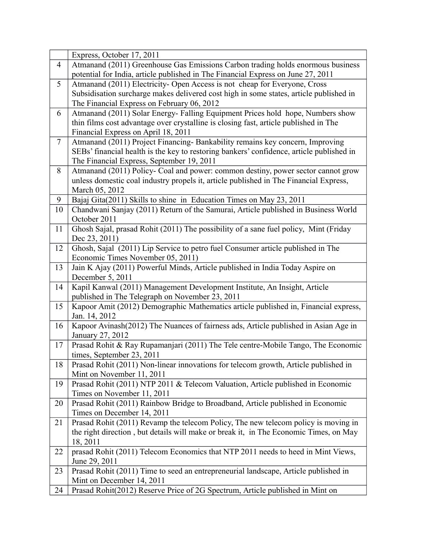|                | Express, October 17, 2011                                                                         |
|----------------|---------------------------------------------------------------------------------------------------|
| $\overline{4}$ | Atmanand (2011) Greenhouse Gas Emissions Carbon trading holds enormous business                   |
|                | potential for India, article published in The Financial Express on June 27, 2011                  |
| 5              | Atmanand (2011) Electricity- Open Access is not cheap for Everyone, Cross                         |
|                | Subsidisation surcharge makes delivered cost high in some states, article published in            |
|                | The Financial Express on February 06, 2012                                                        |
| 6              | Atmanand (2011) Solar Energy-Falling Equipment Prices hold hope, Numbers show                     |
|                | thin films cost advantage over crystalline is closing fast, article published in The              |
|                | Financial Express on April 18, 2011                                                               |
| $\overline{7}$ | Atmanand (2011) Project Financing-Bankability remains key concern, Improving                      |
|                | SEBs' financial health is the key to restoring bankers' confidence, article published in          |
|                | The Financial Express, September 19, 2011                                                         |
| 8              | Atmanand (2011) Policy- Coal and power: common destiny, power sector cannot grow                  |
|                | unless domestic coal industry propels it, article published in The Financial Express,             |
|                | March 05, 2012                                                                                    |
| 9              | Bajaj Gita(2011) Skills to shine in Education Times on May 23, 2011                               |
| 10             | Chandwani Sanjay (2011) Return of the Samurai, Article published in Business World                |
|                | October 2011                                                                                      |
| 11             | Ghosh Sajal, prasad Rohit (2011) The possibility of a sane fuel policy, Mint (Friday              |
|                | Dec 23, 2011)                                                                                     |
| 12             | Ghosh, Sajal (2011) Lip Service to petro fuel Consumer article published in The                   |
|                | Economic Times November 05, 2011)                                                                 |
| 13             | Jain K Ajay (2011) Powerful Minds, Article published in India Today Aspire on<br>December 5, 2011 |
| 14             | Kapil Kanwal (2011) Management Development Institute, An Insight, Article                         |
|                | published in The Telegraph on November 23, 2011                                                   |
| 15             | Kapoor Amit (2012) Demographic Mathematics article published in, Financial express,               |
|                | Jan. 14, 2012                                                                                     |
| 16             | Kapoor Avinash(2012) The Nuances of fairness ads, Article published in Asian Age in               |
|                | January 27, 2012                                                                                  |
| 17             | Prasad Rohit & Ray Rupamanjari (2011) The Tele centre-Mobile Tango, The Economic                  |
|                | times, September 23, 2011                                                                         |
| 18             | Prasad Rohit (2011) Non-linear innovations for telecom growth, Article published in               |
|                | Mint on November 11, 2011                                                                         |
| 19             | Prasad Rohit (2011) NTP 2011 & Telecom Valuation, Article published in Economic                   |
|                | Times on November 11, 2011                                                                        |
| 20             | Prasad Rohit (2011) Rainbow Bridge to Broadband, Article published in Economic                    |
|                | Times on December 14, 2011                                                                        |
| 21             | Prasad Rohit (2011) Revamp the telecom Policy, The new telecom policy is moving in                |
|                | the right direction, but details will make or break it, in The Economic Times, on May             |
|                | 18, 2011                                                                                          |
| 22             | prasad Rohit (2011) Telecom Economics that NTP 2011 needs to heed in Mint Views,                  |
|                | June 29, 2011                                                                                     |
| 23             | Prasad Rohit (2011) Time to seed an entrepreneurial landscape, Article published in               |
|                | Mint on December 14, 2011                                                                         |
| 24             | Prasad Rohit(2012) Reserve Price of 2G Spectrum, Article published in Mint on                     |